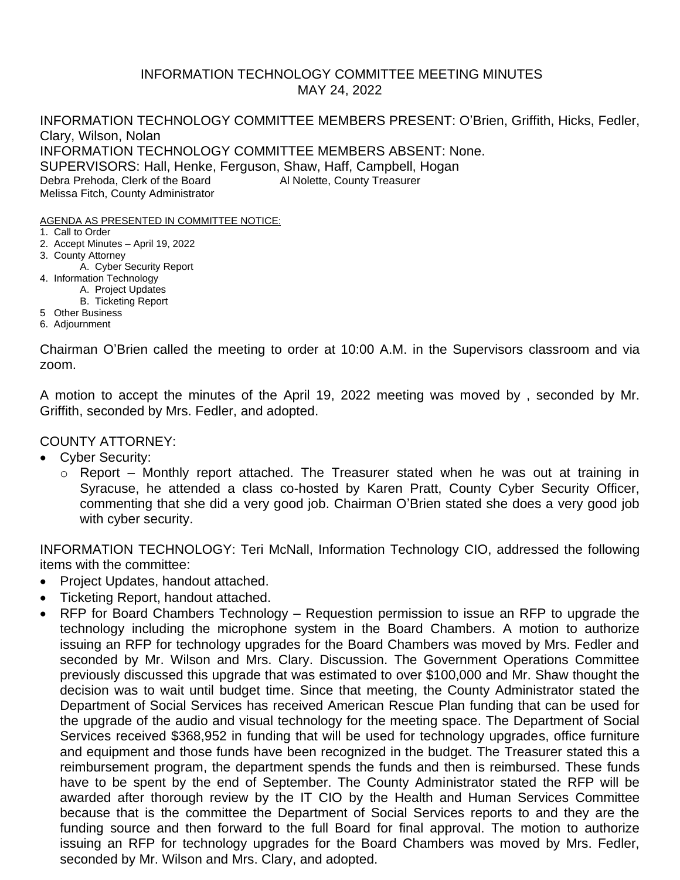## INFORMATION TECHNOLOGY COMMITTEE MEETING MINUTES MAY 24, 2022

INFORMATION TECHNOLOGY COMMITTEE MEMBERS PRESENT: O'Brien, Griffith, Hicks, Fedler, Clary, Wilson, Nolan INFORMATION TECHNOLOGY COMMITTEE MEMBERS ABSENT: None. SUPERVISORS: Hall, Henke, Ferguson, Shaw, Haff, Campbell, Hogan Debra Prehoda, Clerk of the Board Al Nolette, County Treasurer Melissa Fitch, County Administrator

AGENDA AS PRESENTED IN COMMITTEE NOTICE:

- 1. Call to Order
- 2. Accept Minutes April 19, 2022
- 3. County Attorney
	- A. Cyber Security Report
- 4. Information Technology
	- A. Project Updates
	- B. Ticketing Report
- 5 Other Business
- 6. Adjournment

Chairman O'Brien called the meeting to order at 10:00 A.M. in the Supervisors classroom and via zoom.

A motion to accept the minutes of the April 19, 2022 meeting was moved by , seconded by Mr. Griffith, seconded by Mrs. Fedler, and adopted.

COUNTY ATTORNEY:

- Cyber Security:
	- o Report Monthly report attached. The Treasurer stated when he was out at training in Syracuse, he attended a class co-hosted by Karen Pratt, County Cyber Security Officer, commenting that she did a very good job. Chairman O'Brien stated she does a very good job with cyber security.

INFORMATION TECHNOLOGY: Teri McNall, Information Technology CIO, addressed the following items with the committee:

- Project Updates, handout attached.
- Ticketing Report, handout attached.
- RFP for Board Chambers Technology Requestion permission to issue an RFP to upgrade the technology including the microphone system in the Board Chambers. A motion to authorize issuing an RFP for technology upgrades for the Board Chambers was moved by Mrs. Fedler and seconded by Mr. Wilson and Mrs. Clary. Discussion. The Government Operations Committee previously discussed this upgrade that was estimated to over \$100,000 and Mr. Shaw thought the decision was to wait until budget time. Since that meeting, the County Administrator stated the Department of Social Services has received American Rescue Plan funding that can be used for the upgrade of the audio and visual technology for the meeting space. The Department of Social Services received \$368,952 in funding that will be used for technology upgrades, office furniture and equipment and those funds have been recognized in the budget. The Treasurer stated this a reimbursement program, the department spends the funds and then is reimbursed. These funds have to be spent by the end of September. The County Administrator stated the RFP will be awarded after thorough review by the IT CIO by the Health and Human Services Committee because that is the committee the Department of Social Services reports to and they are the funding source and then forward to the full Board for final approval. The motion to authorize issuing an RFP for technology upgrades for the Board Chambers was moved by Mrs. Fedler, seconded by Mr. Wilson and Mrs. Clary, and adopted.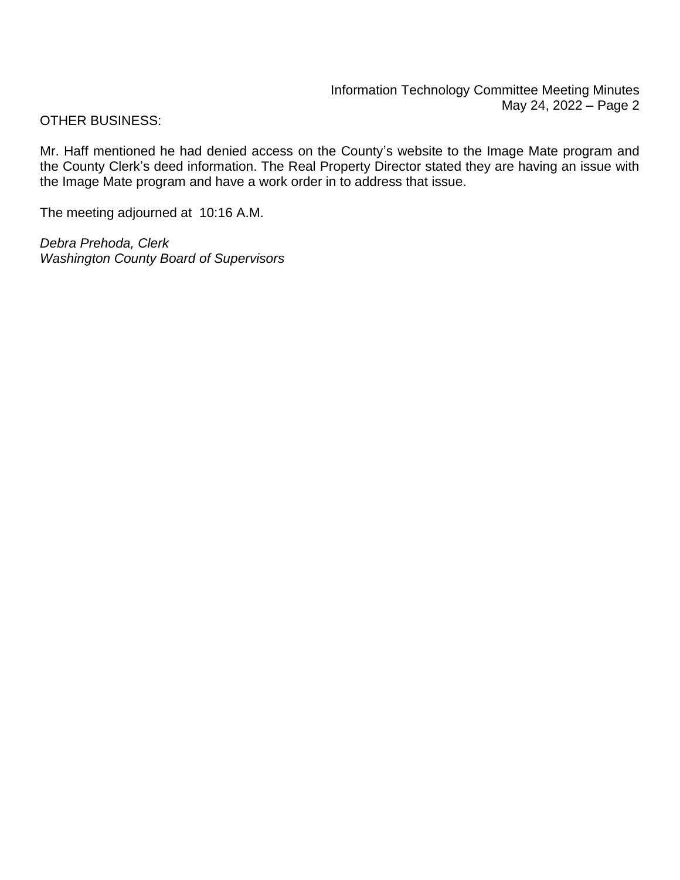OTHER BUSINESS:

Mr. Haff mentioned he had denied access on the County's website to the Image Mate program and the County Clerk's deed information. The Real Property Director stated they are having an issue with the Image Mate program and have a work order in to address that issue.

The meeting adjourned at 10:16 A.M.

*Debra Prehoda, Clerk Washington County Board of Supervisors*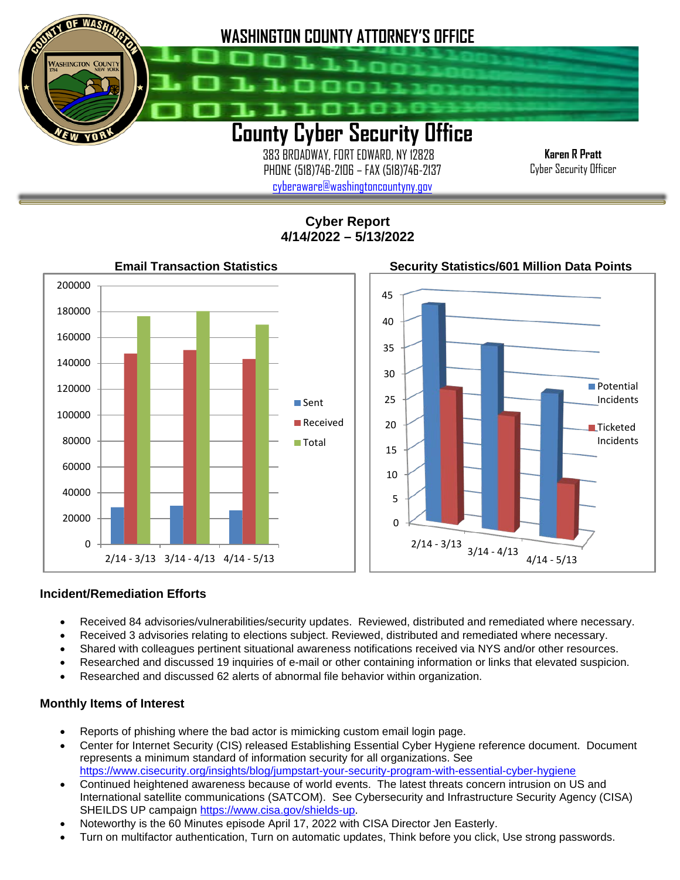

 383 BROADWAY, FORT EDWARD, NY 12828 PHONE (518)746-2106 – FAX (518)746-2137 [cyberaware@washingtoncountyny.gov](mailto:cyberaware@washingtoncountyny.gov)

**Karen R Pratt** Cyber Security Officer

**Cyber Report 4/14/2022 – 5/13/2022**



## **Incident/Remediation Efforts**

İ

- Received 84 advisories/vulnerabilities/security updates. Reviewed, distributed and remediated where necessary.
- Received 3 advisories relating to elections subject. Reviewed, distributed and remediated where necessary.
- Shared with colleagues pertinent situational awareness notifications received via NYS and/or other resources.
- Researched and discussed 19 inquiries of e-mail or other containing information or links that elevated suspicion.
- Researched and discussed 62 alerts of abnormal file behavior within organization.

## **Monthly Items of Interest**

- Reports of phishing where the bad actor is mimicking custom email login page.
- Center for Internet Security (CIS) released Establishing Essential Cyber Hygiene reference document. Document represents a minimum standard of information security for all organizations. See <https://www.cisecurity.org/insights/blog/jumpstart-your-security-program-with-essential-cyber-hygiene>
- Continued heightened awareness because of world events. The latest threats concern intrusion on US and International satellite communications (SATCOM). See Cybersecurity and Infrastructure Security Agency (CISA) SHEILDS UP campaign [https://www.cisa.gov/shields-up.](https://www.cisa.gov/shields-upH)
- Noteworthy is the 60 Minutes episode April 17, 2022 with CISA Director Jen Easterly.
- Turn on multifactor authentication, Turn on automatic updates, Think before you click, Use strong passwords.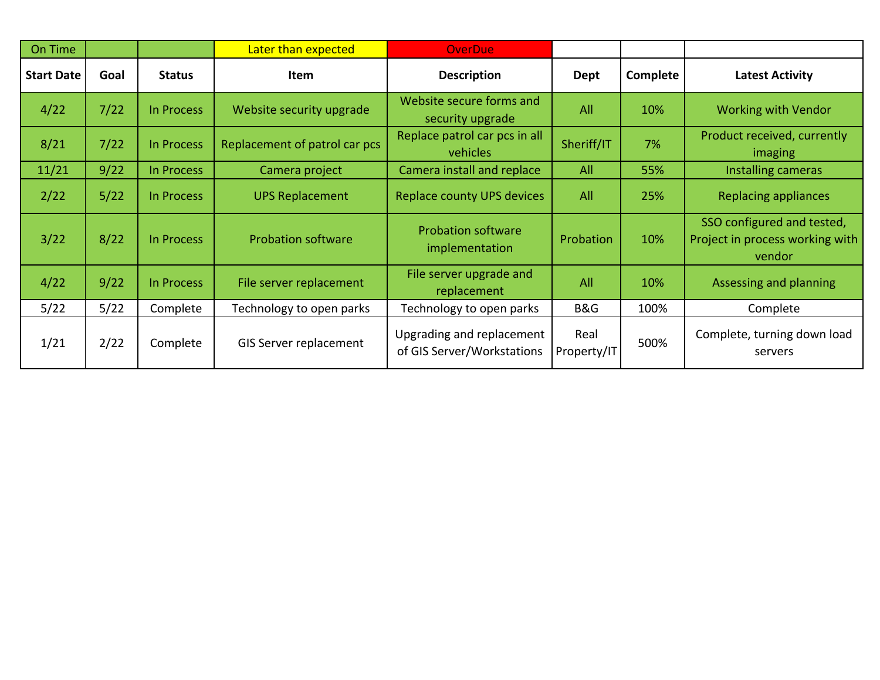| On Time           |      |                   | Later than expected           | <b>OverDue</b>                                          |                     |          |                                                                         |
|-------------------|------|-------------------|-------------------------------|---------------------------------------------------------|---------------------|----------|-------------------------------------------------------------------------|
| <b>Start Date</b> | Goal | <b>Status</b>     | Item                          | <b>Description</b>                                      | <b>Dept</b>         | Complete | <b>Latest Activity</b>                                                  |
| 4/22              | 7/22 | In Process        | Website security upgrade      | Website secure forms and<br>security upgrade            | All                 | 10%      | <b>Working with Vendor</b>                                              |
| 8/21              | 7/22 | <b>In Process</b> | Replacement of patrol car pcs | Replace patrol car pcs in all<br>vehicles               | Sheriff/IT          | 7%       | Product received, currently<br>imaging                                  |
| 11/21             | 9/22 | In Process        | Camera project                | Camera install and replace                              | All                 | 55%      | Installing cameras                                                      |
| 2/22              | 5/22 | In Process        | <b>UPS Replacement</b>        | <b>Replace county UPS devices</b>                       | All                 | 25%      | <b>Replacing appliances</b>                                             |
| 3/22              | 8/22 | In Process        | <b>Probation software</b>     | <b>Probation software</b><br>implementation             | Probation           | 10%      | SSO configured and tested,<br>Project in process working with<br>vendor |
| 4/22              | 9/22 | In Process        | File server replacement       | File server upgrade and<br>replacement                  | All                 | 10%      | Assessing and planning                                                  |
| 5/22              | 5/22 | Complete          | Technology to open parks      | Technology to open parks                                | B&G                 | 100%     | Complete                                                                |
| 1/21              | 2/22 | Complete          | <b>GIS Server replacement</b> | Upgrading and replacement<br>of GIS Server/Workstations | Real<br>Property/IT | 500%     | Complete, turning down load<br>servers                                  |